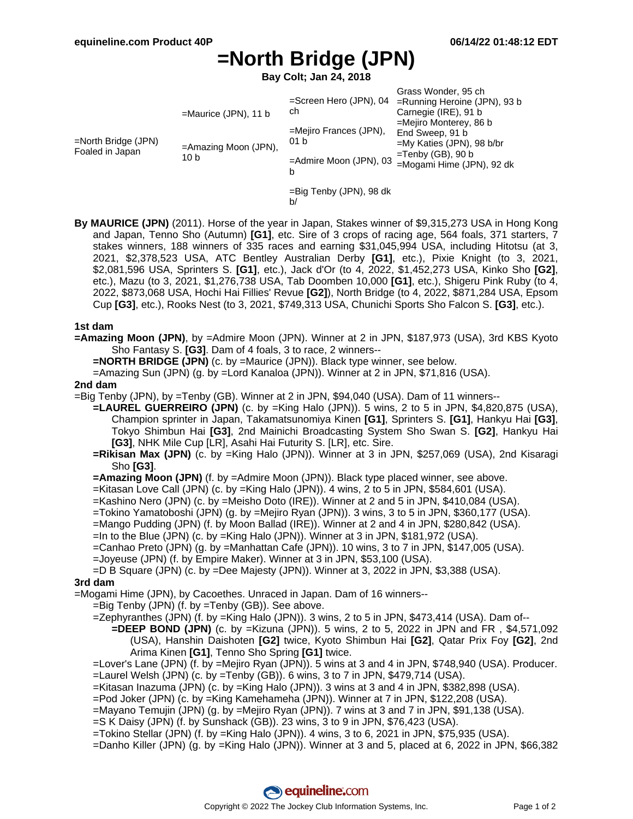# **=North Bridge (JPN)**

**Bay Colt; Jan 24, 2018**

| $=$ North Bridge (JPN)<br>Foaled in Japan | =Maurice (JPN), 11 b<br>=Amazing Moon (JPN),<br>10 b | $=$ Screen Hero (JPN), 04<br>ch<br>=Mejiro Frances (JPN),<br>01 <sub>b</sub><br>=Admire Moon (JPN), 03<br>b | Grass Wonder, 95 ch<br>$=$ Running Heroine (JPN), 93 b<br>Carnegie (IRE), 91 b<br>$=$ Mejiro Monterey, 86 b<br>End Sweep, 91 b<br>$=Mv$ Katies (JPN), 98 b/br<br>$=$ Tenby (GB), 90 b<br>=Mogami Hime (JPN), 92 dk |
|-------------------------------------------|------------------------------------------------------|-------------------------------------------------------------------------------------------------------------|--------------------------------------------------------------------------------------------------------------------------------------------------------------------------------------------------------------------|
|                                           |                                                      | =Big Tenby (JPN), 98 dk                                                                                     |                                                                                                                                                                                                                    |

b/

**By MAURICE (JPN)** (2011). Horse of the year in Japan, Stakes winner of \$9,315,273 USA in Hong Kong and Japan, Tenno Sho (Autumn) **[G1]**, etc. Sire of 3 crops of racing age, 564 foals, 371 starters, 7 stakes winners, 188 winners of 335 races and earning \$31,045,994 USA, including Hitotsu (at 3, 2021, \$2,378,523 USA, ATC Bentley Australian Derby **[G1]**, etc.), Pixie Knight (to 3, 2021, \$2,081,596 USA, Sprinters S. **[G1]**, etc.), Jack d'Or (to 4, 2022, \$1,452,273 USA, Kinko Sho **[G2]**, etc.), Mazu (to 3, 2021, \$1,276,738 USA, Tab Doomben 10,000 **[G1]**, etc.), Shigeru Pink Ruby (to 4, 2022, \$873,068 USA, Hochi Hai Fillies' Revue **[G2]**), North Bridge (to 4, 2022, \$871,284 USA, Epsom Cup **[G3]**, etc.), Rooks Nest (to 3, 2021, \$749,313 USA, Chunichi Sports Sho Falcon S. **[G3]**, etc.).

## **1st dam**

**=Amazing Moon (JPN)**, by =Admire Moon (JPN). Winner at 2 in JPN, \$187,973 (USA), 3rd KBS Kyoto Sho Fantasy S. **[G3]**. Dam of 4 foals, 3 to race, 2 winners--

**=NORTH BRIDGE (JPN)** (c. by =Maurice (JPN)). Black type winner, see below.

=Amazing Sun (JPN) (g. by =Lord Kanaloa (JPN)). Winner at 2 in JPN, \$71,816 (USA).

#### **2nd dam**

=Big Tenby (JPN), by =Tenby (GB). Winner at 2 in JPN, \$94,040 (USA). Dam of 11 winners--

- **=LAUREL GUERREIRO (JPN)** (c. by =King Halo (JPN)). 5 wins, 2 to 5 in JPN, \$4,820,875 (USA), Champion sprinter in Japan, Takamatsunomiya Kinen **[G1]**, Sprinters S. **[G1]**, Hankyu Hai **[G3]**, Tokyo Shimbun Hai **[G3]**, 2nd Mainichi Broadcasting System Sho Swan S. **[G2]**, Hankyu Hai **[G3]**, NHK Mile Cup [LR], Asahi Hai Futurity S. [LR], etc. Sire.
- **=Rikisan Max (JPN)** (c. by =King Halo (JPN)). Winner at 3 in JPN, \$257,069 (USA), 2nd Kisaragi Sho **[G3]**.

**=Amazing Moon (JPN)** (f. by =Admire Moon (JPN)). Black type placed winner, see above.

=Kitasan Love Call (JPN) (c. by =King Halo (JPN)). 4 wins, 2 to 5 in JPN, \$584,601 (USA).

- =Kashino Nero (JPN) (c. by =Meisho Doto (IRE)). Winner at 2 and 5 in JPN, \$410,084 (USA).
- =Tokino Yamatoboshi (JPN) (g. by =Mejiro Ryan (JPN)). 3 wins, 3 to 5 in JPN, \$360,177 (USA).
- =Mango Pudding (JPN) (f. by Moon Ballad (IRE)). Winner at 2 and 4 in JPN, \$280,842 (USA).
- =In to the Blue (JPN) (c. by =King Halo (JPN)). Winner at 3 in JPN, \$181,972 (USA).
- =Canhao Preto (JPN) (g. by =Manhattan Cafe (JPN)). 10 wins, 3 to 7 in JPN, \$147,005 (USA).
- =Joyeuse (JPN) (f. by Empire Maker). Winner at 3 in JPN, \$53,100 (USA).

=D B Square (JPN) (c. by =Dee Majesty (JPN)). Winner at 3, 2022 in JPN, \$3,388 (USA).

## **3rd dam**

=Mogami Hime (JPN), by Cacoethes. Unraced in Japan. Dam of 16 winners--

- =Big Tenby (JPN) (f. by =Tenby (GB)). See above.
- =Zephyranthes (JPN) (f. by =King Halo (JPN)). 3 wins, 2 to 5 in JPN, \$473,414 (USA). Dam of--
	- **=DEEP BOND (JPN)** (c. by =Kizuna (JPN)). 5 wins, 2 to 5, 2022 in JPN and FR , \$4,571,092 (USA), Hanshin Daishoten **[G2]** twice, Kyoto Shimbun Hai **[G2]**, Qatar Prix Foy **[G2]**, 2nd Arima Kinen **[G1]**, Tenno Sho Spring **[G1]** twice.
- =Lover's Lane (JPN) (f. by =Mejiro Ryan (JPN)). 5 wins at 3 and 4 in JPN, \$748,940 (USA). Producer. =Laurel Welsh (JPN) (c. by =Tenby (GB)). 6 wins, 3 to 7 in JPN, \$479,714 (USA).
- =Kitasan Inazuma (JPN) (c. by =King Halo (JPN)). 3 wins at 3 and 4 in JPN, \$382,898 (USA).
- =Pod Joker (JPN) (c. by =King Kamehameha (JPN)). Winner at 7 in JPN, \$122,208 (USA).
- =Mayano Temujin (JPN) (g. by =Mejiro Ryan (JPN)). 7 wins at 3 and 7 in JPN, \$91,138 (USA).
- =S K Daisy (JPN) (f. by Sunshack (GB)). 23 wins, 3 to 9 in JPN, \$76,423 (USA).
- =Tokino Stellar (JPN) (f. by =King Halo (JPN)). 4 wins, 3 to 6, 2021 in JPN, \$75,935 (USA).

=Danho Killer (JPN) (g. by =King Halo (JPN)). Winner at 3 and 5, placed at 6, 2022 in JPN, \$66,382